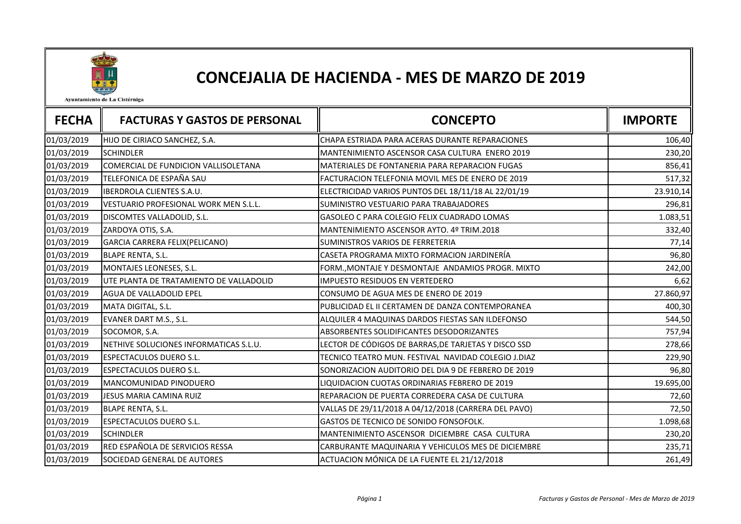

## CONCEJALIA DE HACIENDA - MES DE MARZO DE 2019

Ayuntamiento de La Cistérniga

| <b>FECHA</b> | <b>FACTURAS Y GASTOS DE PERSONAL</b>    | <b>CONCEPTO</b>                                       | <b>IMPORTE</b> |
|--------------|-----------------------------------------|-------------------------------------------------------|----------------|
| 01/03/2019   | HIJO DE CIRIACO SANCHEZ, S.A.           | CHAPA ESTRIADA PARA ACERAS DURANTE REPARACIONES       | 106,40         |
| 01/03/2019   | <b>SCHINDLER</b>                        | MANTENIMIENTO ASCENSOR CASA CULTURA ENERO 2019        | 230,20         |
| 01/03/2019   | COMERCIAL DE FUNDICION VALLISOLETANA    | <b>MATERIALES DE FONTANERIA PARA REPARACION FUGAS</b> | 856,41         |
| 01/03/2019   | TELEFONICA DE ESPAÑA SAU                | FACTURACION TELEFONIA MOVIL MES DE ENERO DE 2019      | 517,32         |
| 01/03/2019   | <b>IBERDROLA CLIENTES S.A.U.</b>        | ELECTRICIDAD VARIOS PUNTOS DEL 18/11/18 AL 22/01/19   | 23.910,14      |
| 01/03/2019   | VESTUARIO PROFESIONAL WORK MEN S.L.L.   | SUMINISTRO VESTUARIO PARA TRABAJADORES                | 296,81         |
| 01/03/2019   | DISCOMTES VALLADOLID, S.L.              | GASOLEO C PARA COLEGIO FELIX CUADRADO LOMAS           | 1.083,51       |
| 01/03/2019   | ZARDOYA OTIS, S.A.                      | MANTENIMIENTO ASCENSOR AYTO. 4º TRIM.2018             | 332,40         |
| 01/03/2019   | GARCIA CARRERA FELIX(PELICANO)          | SUMINISTROS VARIOS DE FERRETERIA                      | 77,14          |
| 01/03/2019   | <b>BLAPE RENTA, S.L.</b>                | CASETA PROGRAMA MIXTO FORMACION JARDINERÍA            | 96,80          |
| 01/03/2019   | MONTAJES LEONESES, S.L.                 | FORM., MONTAJE Y DESMONTAJE ANDAMIOS PROGR. MIXTO     | 242,00         |
| 01/03/2019   | UTE PLANTA DE TRATAMIENTO DE VALLADOLID | IMPUESTO RESIDUOS EN VERTEDERO                        | 6,62           |
| 01/03/2019   | AGUA DE VALLADOLID EPEL                 | CONSUMO DE AGUA MES DE ENERO DE 2019                  | 27.860,97      |
| 01/03/2019   | MATA DIGITAL, S.L.                      | PUBLICIDAD EL II CERTAMEN DE DANZA CONTEMPORANEA      | 400,30         |
| 01/03/2019   | EVANER DART M.S., S.L.                  | ALQUILER 4 MAQUINAS DARDOS FIESTAS SAN ILDEFONSO      | 544,50         |
| 01/03/2019   | SOCOMOR, S.A.                           | ABSORBENTES SOLIDIFICANTES DESODORIZANTES             | 757,94         |
| 01/03/2019   | NETHIVE SOLUCIONES INFORMATICAS S.L.U.  | LECTOR DE CÓDIGOS DE BARRAS, DE TARJETAS Y DISCO SSD  | 278,66         |
| 01/03/2019   | ESPECTACULOS DUERO S.L.                 | TECNICO TEATRO MUN. FESTIVAL NAVIDAD COLEGIO J.DIAZ   | 229,90         |
| 01/03/2019   | <b>ESPECTACULOS DUERO S.L.</b>          | SONORIZACION AUDITORIO DEL DIA 9 DE FEBRERO DE 2019   | 96,80          |
| 01/03/2019   | MANCOMUNIDAD PINODUERO                  | LIQUIDACION CUOTAS ORDINARIAS FEBRERO DE 2019         | 19.695,00      |
| 01/03/2019   | JESUS MARIA CAMINA RUIZ                 | REPARACION DE PUERTA CORREDERA CASA DE CULTURA        | 72,60          |
| 01/03/2019   | <b>BLAPE RENTA, S.L.</b>                | VALLAS DE 29/11/2018 A 04/12/2018 (CARRERA DEL PAVO)  | 72,50          |
| 01/03/2019   | <b>ESPECTACULOS DUERO S.L.</b>          | GASTOS DE TECNICO DE SONIDO FONSOFOLK.                | 1.098,68       |
| 01/03/2019   | <b>SCHINDLER</b>                        | MANTENIMIENTO ASCENSOR DICIEMBRE CASA CULTURA         | 230,20         |
| 01/03/2019   | RED ESPAÑOLA DE SERVICIOS RESSA         | CARBURANTE MAQUINARIA Y VEHICULOS MES DE DICIEMBRE    | 235,71         |
| 01/03/2019   | SOCIEDAD GENERAL DE AUTORES             | ACTUACION MÓNICA DE LA FUENTE EL 21/12/2018           | 261,49         |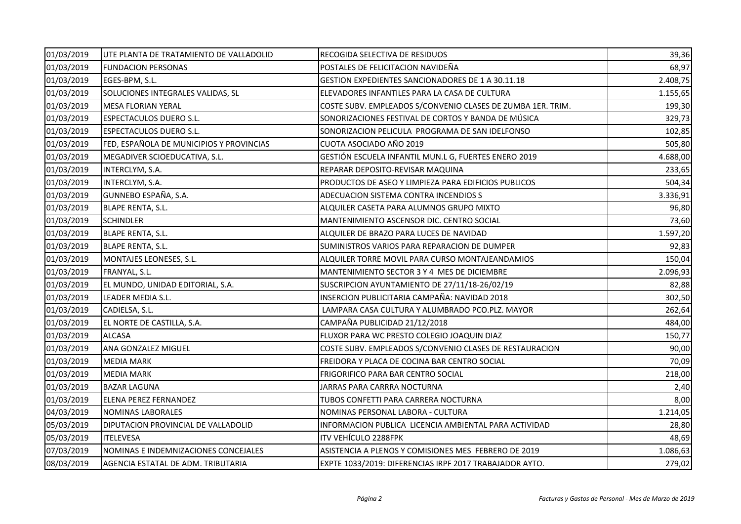| 01/03/2019 | UTE PLANTA DE TRATAMIENTO DE VALLADOLID  | RECOGIDA SELECTIVA DE RESIDUOS                              | 39,36    |
|------------|------------------------------------------|-------------------------------------------------------------|----------|
| 01/03/2019 | <b>FUNDACION PERSONAS</b>                | POSTALES DE FELICITACION NAVIDEÑA                           | 68,97    |
| 01/03/2019 | EGES-BPM, S.L.                           | GESTION EXPEDIENTES SANCIONADORES DE 1 A 30.11.18           | 2.408,75 |
| 01/03/2019 | SOLUCIONES INTEGRALES VALIDAS, SL        | ELEVADORES INFANTILES PARA LA CASA DE CULTURA               | 1.155,65 |
| 01/03/2019 | <b>MESA FLORIAN YERAL</b>                | COSTE SUBV. EMPLEADOS S/CONVENIO CLASES DE ZUMBA 1ER. TRIM. | 199,30   |
| 01/03/2019 | <b>ESPECTACULOS DUERO S.L.</b>           | SONORIZACIONES FESTIVAL DE CORTOS Y BANDA DE MÚSICA         | 329,73   |
| 01/03/2019 | <b>ESPECTACULOS DUERO S.L.</b>           | SONORIZACION PELICULA PROGRAMA DE SAN IDELFONSO             | 102,85   |
| 01/03/2019 | FED, ESPAÑOLA DE MUNICIPIOS Y PROVINCIAS | CUOTA ASOCIADO AÑO 2019                                     | 505,80   |
| 01/03/2019 | MEGADIVER SCIOEDUCATIVA, S.L.            | GESTIÓN ESCUELA INFANTIL MUN.L G, FUERTES ENERO 2019        | 4.688,00 |
| 01/03/2019 | INTERCLYM, S.A.                          | REPARAR DEPOSITO-REVISAR MAQUINA                            | 233,65   |
| 01/03/2019 | INTERCLYM, S.A.                          | PRODUCTOS DE ASEO Y LIMPIEZA PARA EDIFICIOS PUBLICOS        | 504,34   |
| 01/03/2019 | GUNNEBO ESPAÑA, S.A.                     | ADECUACION SISTEMA CONTRA INCENDIOS S                       | 3.336,91 |
| 01/03/2019 | <b>BLAPE RENTA, S.L.</b>                 | ALQUILER CASETA PARA ALUMNOS GRUPO MIXTO                    | 96,80    |
| 01/03/2019 | <b>SCHINDLER</b>                         | MANTENIMIENTO ASCENSOR DIC. CENTRO SOCIAL                   | 73,60    |
| 01/03/2019 | BLAPE RENTA, S.L.                        | ALQUILER DE BRAZO PARA LUCES DE NAVIDAD                     | 1.597,20 |
| 01/03/2019 | <b>BLAPE RENTA, S.L.</b>                 | SUMINISTROS VARIOS PARA REPARACION DE DUMPER                | 92,83    |
| 01/03/2019 | MONTAJES LEONESES, S.L.                  | ALQUILER TORRE MOVIL PARA CURSO MONTAJEANDAMIOS             | 150,04   |
| 01/03/2019 | FRANYAL, S.L.                            | MANTENIMIENTO SECTOR 3 Y 4 MES DE DICIEMBRE                 | 2.096,93 |
| 01/03/2019 | EL MUNDO, UNIDAD EDITORIAL, S.A.         | SUSCRIPCION AYUNTAMIENTO DE 27/11/18-26/02/19               | 82,88    |
| 01/03/2019 | LEADER MEDIA S.L.                        | INSERCION PUBLICITARIA CAMPAÑA: NAVIDAD 2018                | 302,50   |
| 01/03/2019 | CADIELSA, S.L.                           | LAMPARA CASA CULTURA Y ALUMBRADO PCO.PLZ. MAYOR             | 262,64   |
| 01/03/2019 | EL NORTE DE CASTILLA, S.A.               | CAMPAÑA PUBLICIDAD 21/12/2018                               | 484,00   |
| 01/03/2019 | <b>ALCASA</b>                            | FLUXOR PARA WC PRESTO COLEGIO JOAQUIN DIAZ                  | 150,77   |
| 01/03/2019 | ANA GONZALEZ MIGUEL                      | COSTE SUBV. EMPLEADOS S/CONVENIO CLASES DE RESTAURACION     | 90,00    |
| 01/03/2019 | <b>MEDIA MARK</b>                        | FREIDORA Y PLACA DE COCINA BAR CENTRO SOCIAL                | 70,09    |
| 01/03/2019 | <b>MEDIA MARK</b>                        | FRIGORIFICO PARA BAR CENTRO SOCIAL                          | 218,00   |
| 01/03/2019 | <b>BAZAR LAGUNA</b>                      | JARRAS PARA CARRRA NOCTURNA                                 | 2,40     |
| 01/03/2019 | ELENA PEREZ FERNANDEZ                    | TUBOS CONFETTI PARA CARRERA NOCTURNA                        | 8,00     |
| 04/03/2019 | <b>NOMINAS LABORALES</b>                 | NOMINAS PERSONAL LABORA - CULTURA                           | 1.214,05 |
| 05/03/2019 | DIPUTACION PROVINCIAL DE VALLADOLID      | INFORMACION PUBLICA LICENCIA AMBIENTAL PARA ACTIVIDAD       | 28,80    |
| 05/03/2019 | <b>ITELEVESA</b>                         | ITV VEHÍCULO 2288FPK                                        | 48,69    |
| 07/03/2019 | NOMINAS E INDEMNIZACIONES CONCEJALES     | ASISTENCIA A PLENOS Y COMISIONES MES FEBRERO DE 2019        | 1.086,63 |
| 08/03/2019 | AGENCIA ESTATAL DE ADM. TRIBUTARIA       | EXPTE 1033/2019: DIFERENCIAS IRPF 2017 TRABAJADOR AYTO.     | 279,02   |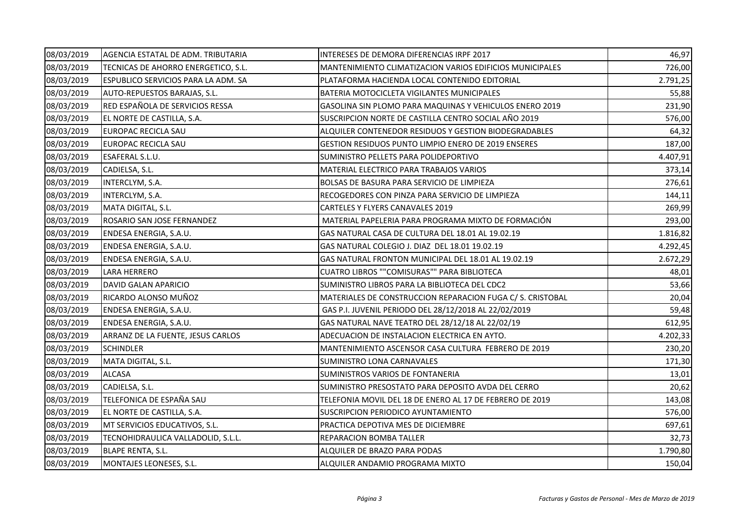| 08/03/2019 | AGENCIA ESTATAL DE ADM. TRIBUTARIA  | INTERESES DE DEMORA DIFERENCIAS IRPF 2017                 | 46,97    |
|------------|-------------------------------------|-----------------------------------------------------------|----------|
| 08/03/2019 | TECNICAS DE AHORRO ENERGETICO, S.L. | MANTENIMIENTO CLIMATIZACION VARIOS EDIFICIOS MUNICIPALES  | 726,00   |
| 08/03/2019 | ESPUBLICO SERVICIOS PARA LA ADM. SA | PLATAFORMA HACIENDA LOCAL CONTENIDO EDITORIAL             | 2.791,25 |
| 08/03/2019 | AUTO-REPUESTOS BARAJAS, S.L.        | BATERIA MOTOCICLETA VIGILANTES MUNICIPALES                | 55,88    |
| 08/03/2019 | RED ESPAÑOLA DE SERVICIOS RESSA     | GASOLINA SIN PLOMO PARA MAQUINAS Y VEHICULOS ENERO 2019   | 231,90   |
| 08/03/2019 | EL NORTE DE CASTILLA, S.A.          | SUSCRIPCION NORTE DE CASTILLA CENTRO SOCIAL AÑO 2019      | 576,00   |
| 08/03/2019 | EUROPAC RECICLA SAU                 | ALQUILER CONTENEDOR RESIDUOS Y GESTION BIODEGRADABLES     | 64,32    |
| 08/03/2019 | EUROPAC RECICLA SAU                 | GESTION RESIDUOS PUNTO LIMPIO ENERO DE 2019 ENSERES       | 187,00   |
| 08/03/2019 | ESAFERAL S.L.U.                     | SUMINISTRO PELLETS PARA POLIDEPORTIVO                     | 4.407,91 |
| 08/03/2019 | CADIELSA, S.L.                      | MATERIAL ELECTRICO PARA TRABAJOS VARIOS                   | 373,14   |
| 08/03/2019 | INTERCLYM, S.A.                     | BOLSAS DE BASURA PARA SERVICIO DE LIMPIEZA                | 276,61   |
| 08/03/2019 | INTERCLYM, S.A.                     | RECOGEDORES CON PINZA PARA SERVICIO DE LIMPIEZA           | 144,11   |
| 08/03/2019 | MATA DIGITAL, S.L.                  | CARTELES Y FLYERS CANAVALES 2019                          | 269,99   |
| 08/03/2019 | ROSARIO SAN JOSE FERNANDEZ          | MATERIAL PAPELERIA PARA PROGRAMA MIXTO DE FORMACIÓN       | 293,00   |
| 08/03/2019 | ENDESA ENERGIA, S.A.U.              | GAS NATURAL CASA DE CULTURA DEL 18.01 AL 19.02.19         | 1.816,82 |
| 08/03/2019 | ENDESA ENERGIA, S.A.U.              | GAS NATURAL COLEGIO J. DIAZ DEL 18.01 19.02.19            | 4.292,45 |
| 08/03/2019 | ENDESA ENERGIA, S.A.U.              | GAS NATURAL FRONTON MUNICIPAL DEL 18.01 AL 19.02.19       | 2.672,29 |
| 08/03/2019 | LARA HERRERO                        | CUATRO LIBROS ""COMISURAS"" PARA BIBLIOTECA               | 48,01    |
| 08/03/2019 | DAVID GALAN APARICIO                | SUMINISTRO LIBROS PARA LA BIBLIOTECA DEL CDC2             | 53,66    |
| 08/03/2019 | RICARDO ALONSO MUÑOZ                | MATERIALES DE CONSTRUCCION REPARACION FUGA C/S. CRISTOBAL | 20,04    |
| 08/03/2019 | ENDESA ENERGIA, S.A.U.              | GAS P.I. JUVENIL PERIODO DEL 28/12/2018 AL 22/02/2019     | 59,48    |
| 08/03/2019 | ENDESA ENERGIA, S.A.U.              | GAS NATURAL NAVE TEATRO DEL 28/12/18 AL 22/02/19          | 612,95   |
| 08/03/2019 | ARRANZ DE LA FUENTE, JESUS CARLOS   | ADECUACION DE INSTALACION ELECTRICA EN AYTO.              | 4.202,33 |
| 08/03/2019 | <b>SCHINDLER</b>                    | MANTENIMIENTO ASCENSOR CASA CULTURA FEBRERO DE 2019       | 230,20   |
| 08/03/2019 | MATA DIGITAL, S.L.                  | SUMINISTRO LONA CARNAVALES                                | 171,30   |
| 08/03/2019 | <b>ALCASA</b>                       | SUMINISTROS VARIOS DE FONTANERIA                          | 13,01    |
| 08/03/2019 | CADIELSA, S.L.                      | SUMINISTRO PRESOSTATO PARA DEPOSITO AVDA DEL CERRO        | 20,62    |
| 08/03/2019 | TELEFONICA DE ESPAÑA SAU            | TELEFONIA MOVIL DEL 18 DE ENERO AL 17 DE FEBRERO DE 2019  | 143,08   |
| 08/03/2019 | EL NORTE DE CASTILLA, S.A.          | SUSCRIPCION PERIODICO AYUNTAMIENTO                        | 576,00   |
| 08/03/2019 | MT SERVICIOS EDUCATIVOS, S.L.       | PRACTICA DEPOTIVA MES DE DICIEMBRE                        | 697,61   |
| 08/03/2019 | TECNOHIDRAULICA VALLADOLID, S.L.L.  | REPARACION BOMBA TALLER                                   | 32,73    |
| 08/03/2019 | <b>BLAPE RENTA, S.L.</b>            | ALQUILER DE BRAZO PARA PODAS                              | 1.790,80 |
| 08/03/2019 | MONTAJES LEONESES, S.L.             | ALQUILER ANDAMIO PROGRAMA MIXTO                           | 150,04   |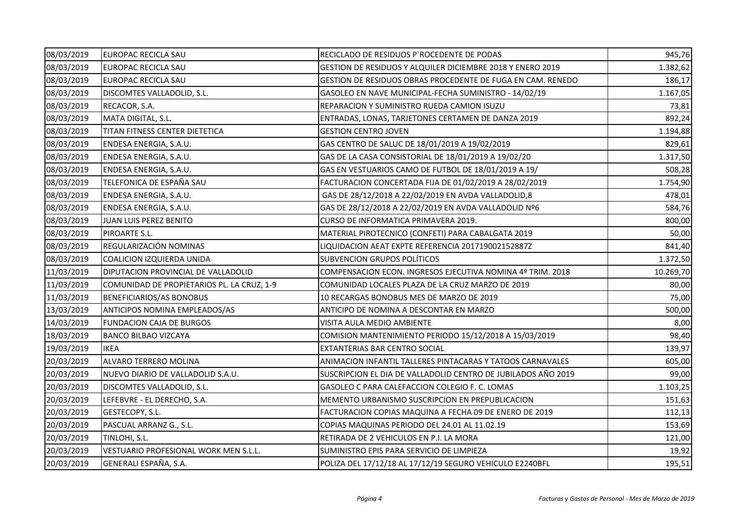| 08/03/2019 | EUROPAC RECICLA SAU                        | RECICLADO DE RESIDUOS P'ROCEDENTE DE PODAS                    | 945,76    |
|------------|--------------------------------------------|---------------------------------------------------------------|-----------|
| 08/03/2019 | EUROPAC RECICLA SAU                        | GESTION DE RESIDUOS Y ALQUILER DICIEMBRE 2018 Y ENERO 2019    | 1.382,62  |
| 08/03/2019 | EUROPAC RECICLA SAU                        | GESTION DE RESIDUOS OBRAS PROCEDENTE DE FUGA EN CAM. RENEDO   | 186,17    |
| 08/03/2019 | DISCOMTES VALLADOLID, S.L.                 | GASOLEO EN NAVE MUNICIPAL-FECHA SUMINISTRO - 14/02/19         | 1.167,05  |
| 08/03/2019 | RECACOR, S.A.                              | REPARACION Y SUMINISTRO RUEDA CAMION ISUZU                    | 73,81     |
| 08/03/2019 | MATA DIGITAL, S.L.                         | ENTRADAS, LONAS, TARJETONES CERTAMEN DE DANZA 2019            | 892,24    |
| 08/03/2019 | TITAN FITNESS CENTER DIETETICA             | <b>GESTION CENTRO JOVEN</b>                                   | 1.194,88  |
| 08/03/2019 | ENDESA ENERGIA, S.A.U.                     | GAS CENTRO DE SALUC DE 18/01/2019 A 19/02/2019                | 829,61    |
| 08/03/2019 | ENDESA ENERGIA, S.A.U.                     | GAS DE LA CASA CONSISTORIAL DE 18/01/2019 A 19/02/20          | 1.317,50  |
| 08/03/2019 | ENDESA ENERGIA, S.A.U.                     | GAS EN VESTUARIOS CAMO DE FUTBOL DE 18/01/2019 A 19/          | 508,28    |
| 08/03/2019 | TELEFONICA DE ESPAÑA SAU                   | FACTURACION CONCERTADA FIJA DE 01/02/2019 A 28/02/2019        | 1.754,90  |
| 08/03/2019 | ENDESA ENERGIA, S.A.U.                     | GAS DE 28/12/2018 A 22/02/2019 EN AVDA VALLADOLID,8           | 478,01    |
| 08/03/2019 | ENDESA ENERGIA, S.A.U.                     | GAS DE 28/12/2018 A 22/02/2019 EN AVDA VALLADOLID Nº6         | 584,76    |
| 08/03/2019 | JUAN LUIS PEREZ BENITO                     | CURSO DE INFORMATICA PRIMAVERA 2019.                          | 800,00    |
| 08/03/2019 | PIROARTE S.L.                              | MATERIAL PIROTECNICO (CONFETI) PARA CABALGATA 2019            | 50,00     |
| 08/03/2019 | REGULARIZACIÓN NOMINAS                     | LIQUIDACION AEAT EXPTE REFERENCIA 201719002152887Z            | 841,40    |
| 08/03/2019 | COALICION IZQUIERDA UNIDA                  | SUBVENCION GRUPOS POLÍTICOS                                   | 1.372,50  |
| 11/03/2019 | DIPUTACION PROVINCIAL DE VALLADOLID        | COMPENSACION ECON. INGRESOS EJECUTIVA NOMINA 4º TRIM. 2018    | 10.269,70 |
| 11/03/2019 | COMUNIDAD DE PROPIETARIOS PL. LA CRUZ, 1-9 | COMUNIDAD LOCALES PLAZA DE LA CRUZ MARZO DE 2019              | 80,00     |
| 11/03/2019 | BENEFICIARIOS/AS BONOBUS                   | 10 RECARGAS BONOBUS MES DE MARZO DE 2019                      | 75,00     |
| 13/03/2019 | ANTICIPOS NOMINA EMPLEADOS/AS              | ANTICIPO DE NOMINA A DESCONTAR EN MARZO                       | 500,00    |
| 14/03/2019 | <b>FUNDACION CAJA DE BURGOS</b>            | VISITA AULA MEDIO AMBIENTE                                    | 8,00      |
| 18/03/2019 | <b>BANCO BILBAO VIZCAYA</b>                | COMISION MANTENIMIENTO PERIODO 15/12/2018 A 15/03/2019        | 98,40     |
| 19/03/2019 | <b>IKEA</b>                                | EXTANTERIAS BAR CENTRO SOCIAL                                 | 139,97    |
| 20/03/2019 | ALVARO TERRERO MOLINA                      | ANIMACION INFANTIL TALLERES PINTACARAS Y TATOOS CARNAVALES    | 605,00    |
| 20/03/2019 | NUEVO DIARIO DE VALLADOLID S.A.U.          | SUSCRIPCION EL DIA DE VALLADOLID CENTRO DE JUBILADOS AÑO 2019 | 99,00     |
| 20/03/2019 | DISCOMTES VALLADOLID, S.L.                 | GASOLEO C PARA CALEFACCION COLEGIO F. C. LOMAS                | 1.103,25  |
| 20/03/2019 | LEFEBVRE - EL DERECHO, S.A.                | MEMENTO URBANISMO SUSCRIPCION EN PREPUBLICACION               | 151,63    |
| 20/03/2019 | GESTECOPY, S.L.                            | FACTURACION COPIAS MAQUINA A FECHA 09 DE ENERO DE 2019        | 112,13    |
| 20/03/2019 | PASCUAL ARRANZ G., S.L.                    | COPIAS MAQUINAS PERIODO DEL 24.01 AL 11.02.19                 | 153,69    |
| 20/03/2019 | TINLOHI, S.L.                              | RETIRADA DE 2 VEHICULOS EN P.I. LA MORA                       | 121,00    |
| 20/03/2019 | VESTUARIO PROFESIONAL WORK MEN S.L.L.      | SUMINISTRO EPIS PARA SERVICIO DE LIMPIEZA                     | 19,92     |
| 20/03/2019 | GENERALI ESPAÑA, S.A.                      | POLIZA DEL 17/12/18 AL 17/12/19 SEGURO VEHICULO E2240BFL      | 195,51    |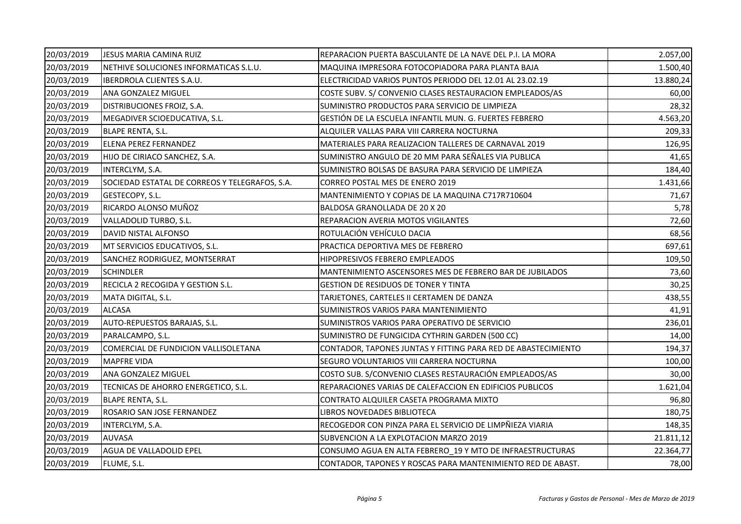| 20/03/2019 | JESUS MARIA CAMINA RUIZ                        | REPARACION PUERTA BASCULANTE DE LA NAVE DEL P.I. LA MORA      | 2.057,00  |
|------------|------------------------------------------------|---------------------------------------------------------------|-----------|
| 20/03/2019 | NETHIVE SOLUCIONES INFORMATICAS S.L.U.         | MAQUINA IMPRESORA FOTOCOPIADORA PARA PLANTA BAJA              | 1.500,40  |
| 20/03/2019 | <b>IBERDROLA CLIENTES S.A.U.</b>               | ELECTRICIDAD VARIOS PUNTOS PERIODO DEL 12.01 AL 23.02.19      | 13.880,24 |
| 20/03/2019 | ANA GONZALEZ MIGUEL                            | COSTE SUBV. S/ CONVENIO CLASES RESTAURACION EMPLEADOS/AS      | 60,00     |
| 20/03/2019 | DISTRIBUCIONES FROIZ, S.A.                     | SUMINISTRO PRODUCTOS PARA SERVICIO DE LIMPIEZA                | 28,32     |
| 20/03/2019 | MEGADIVER SCIOEDUCATIVA, S.L.                  | GESTIÓN DE LA ESCUELA INFANTIL MUN. G. FUERTES FEBRERO        | 4.563,20  |
| 20/03/2019 | BLAPE RENTA, S.L.                              | ALQUILER VALLAS PARA VIII CARRERA NOCTURNA                    | 209,33    |
| 20/03/2019 | ELENA PEREZ FERNANDEZ                          | MATERIALES PARA REALIZACION TALLERES DE CARNAVAL 2019         | 126,95    |
| 20/03/2019 | HIJO DE CIRIACO SANCHEZ, S.A.                  | SUMINISTRO ANGULO DE 20 MM PARA SEÑALES VIA PUBLICA           | 41,65     |
| 20/03/2019 | INTERCLYM, S.A.                                | SUMINISTRO BOLSAS DE BASURA PARA SERVICIO DE LIMPIEZA         | 184,40    |
| 20/03/2019 | SOCIEDAD ESTATAL DE CORREOS Y TELEGRAFOS, S.A. | CORREO POSTAL MES DE ENERO 2019                               | 1.431,66  |
| 20/03/2019 | GESTECOPY, S.L.                                | MANTENIMIENTO Y COPIAS DE LA MAQUINA C717R710604              | 71,67     |
| 20/03/2019 | RICARDO ALONSO MUÑOZ                           | BALDOSA GRANOLLADA DE 20 X 20                                 | 5,78      |
| 20/03/2019 | VALLADOLID TURBO, S.L.                         | REPARACION AVERIA MOTOS VIGILANTES                            | 72,60     |
| 20/03/2019 | DAVID NISTAL ALFONSO                           | ROTULACIÓN VEHÍCULO DACIA                                     | 68,56     |
| 20/03/2019 | MT SERVICIOS EDUCATIVOS, S.L.                  | PRACTICA DEPORTIVA MES DE FEBRERO                             | 697,61    |
| 20/03/2019 | SANCHEZ RODRIGUEZ, MONTSERRAT                  | HIPOPRESIVOS FEBRERO EMPLEADOS                                | 109,50    |
| 20/03/2019 | <b>SCHINDLER</b>                               | MANTENIMIENTO ASCENSORES MES DE FEBRERO BAR DE JUBILADOS      | 73,60     |
| 20/03/2019 | RECICLA 2 RECOGIDA Y GESTION S.L.              | <b>GESTION DE RESIDUOS DE TONER Y TINTA</b>                   | 30,25     |
| 20/03/2019 | MATA DIGITAL, S.L.                             | TARJETONES, CARTELES II CERTAMEN DE DANZA                     | 438,55    |
| 20/03/2019 | <b>ALCASA</b>                                  | SUMINISTROS VARIOS PARA MANTENIMIENTO                         | 41,91     |
| 20/03/2019 | AUTO-REPUESTOS BARAJAS, S.L.                   | SUMINISTROS VARIOS PARA OPERATIVO DE SERVICIO                 | 236,01    |
| 20/03/2019 | PARALCAMPO, S.L.                               | SUMINISTRO DE FUNGICIDA CYTHRIN GARDEN (500 CC)               | 14,00     |
| 20/03/2019 | COMERCIAL DE FUNDICION VALLISOLETANA           | CONTADOR, TAPONES JUNTAS Y FITTING PARA RED DE ABASTECIMIENTO | 194,37    |
| 20/03/2019 | <b>MAPFRE VIDA</b>                             | SEGURO VOLUNTARIOS VIII CARRERA NOCTURNA                      | 100,00    |
| 20/03/2019 | ANA GONZALEZ MIGUEL                            | COSTO SUB. S/CONVENIO CLASES RESTAURACIÓN EMPLEADOS/AS        | 30,00     |
| 20/03/2019 | TECNICAS DE AHORRO ENERGETICO, S.L.            | REPARACIONES VARIAS DE CALEFACCION EN EDIFICIOS PUBLICOS      | 1.621,04  |
| 20/03/2019 | <b>BLAPE RENTA, S.L.</b>                       | CONTRATO ALQUILER CASETA PROGRAMA MIXTO                       | 96,80     |
| 20/03/2019 | ROSARIO SAN JOSE FERNANDEZ                     | LIBROS NOVEDADES BIBLIOTECA                                   | 180,75    |
| 20/03/2019 | INTERCLYM, S.A.                                | RECOGEDOR CON PINZA PARA EL SERVICIO DE LIMPÑIEZA VIARIA      | 148,35    |
| 20/03/2019 | <b>AUVASA</b>                                  | SUBVENCION A LA EXPLOTACION MARZO 2019                        | 21.811,12 |
| 20/03/2019 | AGUA DE VALLADOLID EPEL                        | CONSUMO AGUA EN ALTA FEBRERO_19 Y MTO DE INFRAESTRUCTURAS     | 22.364,77 |
| 20/03/2019 | FLUME, S.L.                                    | CONTADOR, TAPONES Y ROSCAS PARA MANTENIMIENTO RED DE ABAST.   | 78,00     |